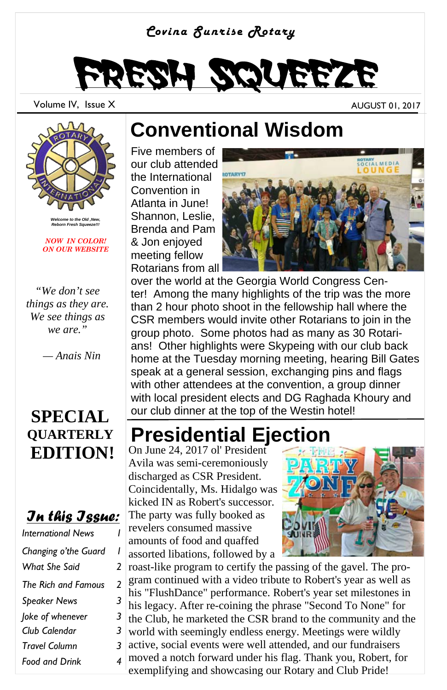#### *Covina Sunrise Rotary*



Volume IV, Issue X and AUGUST 01, 2017

*Welcome to the Old ,New, Reborn Fresh Squeeze!!!* 

*NOW IN COLOR! ON OUR WEBSITE* 

*"We don't see things as they are. We see things as we are."* 

 *— Anais Nin* 

### **SPECIAL QUARTERLY EDITION!**

#### *In this Issue:*

| <b>International News</b> |   |
|---------------------------|---|
| Changing o'the Guard      | ı |
| What She Said             | 2 |
| The Rich and Famous       | 2 |
| <b>Speaker News</b>       | 3 |
| Joke of whenever          | 3 |
| Club Calendar             | 3 |
| <b>Travel Column</b>      | 3 |
| <b>Food and Drink</b>     | 4 |

## **Conventional Wisdom**

Five members of our club attended the International Convention in Atlanta in June! Shannon, Leslie, Brenda and Pam & Jon enjoyed meeting fellow Rotarians from all



over the world at the Georgia World Congress Center! Among the many highlights of the trip was the more than 2 hour photo shoot in the fellowship hall where the CSR members would invite other Rotarians to join in the group photo. Some photos had as many as 30 Rotarians! Other highlights were Skypeing with our club back home at the Tuesday morning meeting, hearing Bill Gates speak at a general session, exchanging pins and flags with other attendees at the convention, a group dinner with local president elects and DG Raghada Khoury and our club dinner at the top of the Westin hotel!

### **Presidential Ejection**

On June 24, 2017 ol' President Avila was semi-ceremoniously discharged as CSR President. Coincidentally, Ms. Hidalgo was kicked IN as Robert's successor. The party was fully booked as revelers consumed massive amounts of food and quaffed assorted libations, followed by a



roast-like program to certify the passing of the gavel. The program continued with a video tribute to Robert's year as well as his "FlushDance" performance. Robert's year set milestones in his legacy. After re-coining the phrase "Second To None" for the Club, he marketed the CSR brand to the community and the world with seemingly endless energy. Meetings were wildly active, social events were well attended, and our fundraisers moved a notch forward under his flag. Thank you, Robert, for exemplifying and showcasing our Rotary and Club Pride!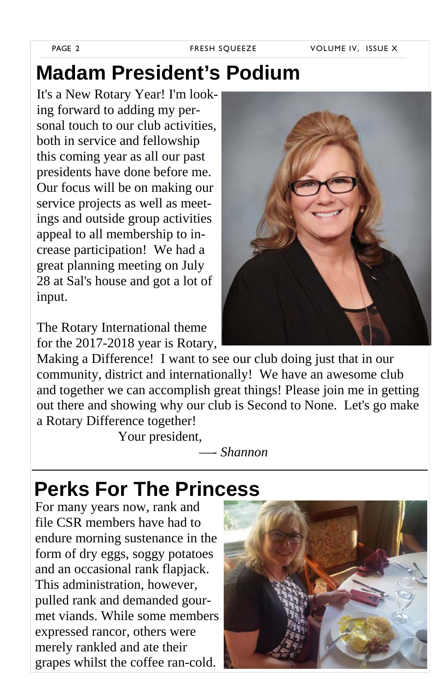# **Madam President's Podium**

It's a New Rotary Year! I'm looking forward to adding my personal touch to our club activities, both in service and fellowship this coming year as all our past presidents have done before me. Our focus will be on making our service projects as well as meetings and outside group activities appeal to all membership to increase participation! We had a great planning meeting on July 28 at Sal's house and got a lot of input.

The Rotary International theme for the 2017-2018 year is Rotary,

Making a Difference! I want to see our club doing just that in our community, district and internationally! We have an awesome club and together we can accomplish great things! Please join me in getting out there and showing why our club is Second to None. Let's go make a Rotary Difference together!

Your president,

—- *Shannon*

### **Perks For The Princess**

For many years now, rank and file CSR members have had to endure morning sustenance in the form of dry eggs, soggy potatoes and an occasional rank flapjack. This administration, however, pulled rank and demanded gourmet viands. While some members expressed rancor, others were merely rankled and ate their grapes whilst the coffee ran-cold.



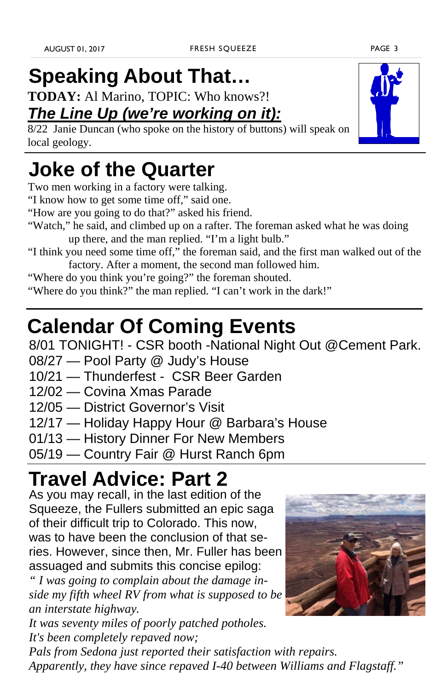# **Speaking About That…**

**TODAY:** Al Marino, TOPIC: Who knows?!

### *The Line Up (we're working on it):*

8/22 Janie Duncan (who spoke on the history of buttons) will speak on local geology.

### **Joke of the Quarter**

Two men working in a factory were talking.

- "I know how to get some time off," said one.
- "How are you going to do that?" asked his friend.
- "Watch," he said, and climbed up on a rafter. The foreman asked what he was doing up there, and the man replied. "I'm a light bulb."
- "I think you need some time off," the foreman said, and the first man walked out of the factory. After a moment, the second man followed him.
- "Where do you think you're going?" the foreman shouted.

"Where do you think?" the man replied. "I can't work in the dark!"

# **Calendar Of Coming Events**

8/01 TONIGHT! - CSR booth -National Night Out @Cement Park.

- 08/27 Pool Party @ Judy's House
- 10/21 Thunderfest CSR Beer Garden
- 12/02 Covina Xmas Parade
- 12/05 District Governor's Visit
- 12/17 Holiday Happy Hour @ Barbara's House
- 01/13 History Dinner For New Members
- 05/19 Country Fair @ Hurst Ranch 6pm

# **Travel Advice: Part 2**

As you may recall, in the last edition of the Squeeze, the Fullers submitted an epic saga of their difficult trip to Colorado. This now, was to have been the conclusion of that series. However, since then, Mr. Fuller has been assuaged and submits this concise epilog:

*" I was going to complain about the damage inside my fifth wheel RV from what is supposed to be an interstate highway.* 

*It was seventy miles of poorly patched potholes. It's been completely repaved now;* 

*Pals from Sedona just reported their satisfaction with repairs. Apparently, they have since repaved I-40 between Williams and Flagstaff."*